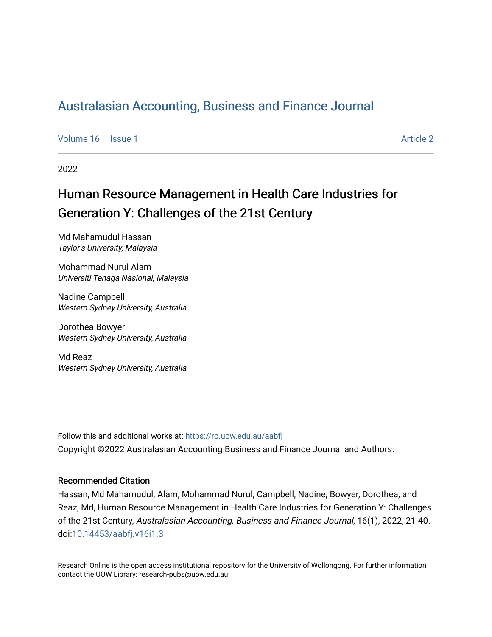# [Australasian Accounting, Business and Finance Journal](https://ro.uow.edu.au/aabfj)

[Volume 16](https://ro.uow.edu.au/aabfj/vol16) September 19 | [Issue 1](https://ro.uow.edu.au/aabfj/vol16/iss1) [Article 2](https://ro.uow.edu.au/aabfj/vol16/iss1/2) | Article 2 | Article 2 | Article 2 | Article 2 | Article 2 | Article 2 | Article 2 | Article 2 | Article 2 | Article 2 | Article 2 | Article 2 | Article 2 | Article 2 | Article 2

2022

# Human Resource Management in Health Care Industries for Generation Y: Challenges of the 21st Century

Md Mahamudul Hassan Taylor's University, Malaysia

Mohammad Nurul Alam Universiti Tenaga Nasional, Malaysia

Nadine Campbell Western Sydney University, Australia

Dorothea Bowyer Western Sydney University, Australia

Md Reaz Western Sydney University, Australia

Follow this and additional works at: [https://ro.uow.edu.au/aabfj](https://ro.uow.edu.au/aabfj?utm_source=ro.uow.edu.au%2Faabfj%2Fvol16%2Fiss1%2F2&utm_medium=PDF&utm_campaign=PDFCoverPages) Copyright ©2022 Australasian Accounting Business and Finance Journal and Authors.

#### Recommended Citation

Hassan, Md Mahamudul; Alam, Mohammad Nurul; Campbell, Nadine; Bowyer, Dorothea; and Reaz, Md, Human Resource Management in Health Care Industries for Generation Y: Challenges of the 21st Century, Australasian Accounting, Business and Finance Journal, 16(1), 2022, 21-40. doi:[10.14453/aabfj.v16i1.3](http://dx.doi.org/10.14453/aabfj.v16i1.3) 

Research Online is the open access institutional repository for the University of Wollongong. For further information contact the UOW Library: research-pubs@uow.edu.au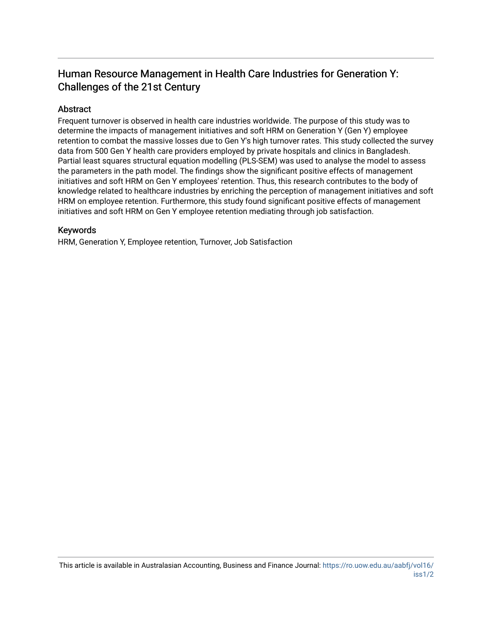# Human Resource Management in Health Care Industries for Generation Y: Challenges of the 21st Century

#### Abstract

Frequent turnover is observed in health care industries worldwide. The purpose of this study was to determine the impacts of management initiatives and soft HRM on Generation Y (Gen Y) employee retention to combat the massive losses due to Gen Y's high turnover rates. This study collected the survey data from 500 Gen Y health care providers employed by private hospitals and clinics in Bangladesh. Partial least squares structural equation modelling (PLS-SEM) was used to analyse the model to assess the parameters in the path model. The findings show the significant positive effects of management initiatives and soft HRM on Gen Y employees' retention. Thus, this research contributes to the body of knowledge related to healthcare industries by enriching the perception of management initiatives and soft HRM on employee retention. Furthermore, this study found significant positive effects of management initiatives and soft HRM on Gen Y employee retention mediating through job satisfaction.

#### Keywords

HRM, Generation Y, Employee retention, Turnover, Job Satisfaction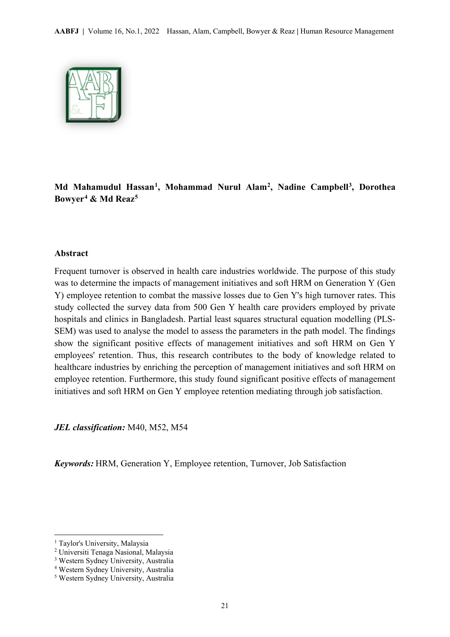

**Md Mahamudul Hassan[1,](#page-2-0) Mohammad Nurul Alam[2,](#page-2-1) Nadine Campbell[3,](#page-2-2) Dorothea Bowyer[4](#page-2-3) & Md Reaz[5](#page-2-4)** 

#### **Abstract**

Frequent turnover is observed in health care industries worldwide. The purpose of this study was to determine the impacts of management initiatives and soft HRM on Generation Y (Gen Y) employee retention to combat the massive losses due to Gen Y's high turnover rates. This study collected the survey data from 500 Gen Y health care providers employed by private hospitals and clinics in Bangladesh. Partial least squares structural equation modelling (PLS-SEM) was used to analyse the model to assess the parameters in the path model. The findings show the significant positive effects of management initiatives and soft HRM on Gen Y employees' retention. Thus, this research contributes to the body of knowledge related to healthcare industries by enriching the perception of management initiatives and soft HRM on employee retention. Furthermore, this study found significant positive effects of management initiatives and soft HRM on Gen Y employee retention mediating through job satisfaction.

*JEL classification:* M40, M52, M54

*Keywords:* HRM, Generation Y, Employee retention, Turnover, Job Satisfaction

**.** 

<span id="page-2-0"></span><sup>&</sup>lt;sup>1</sup> Taylor's University, Malaysia

<span id="page-2-1"></span><sup>2</sup> Universiti Tenaga Nasional, Malaysia

<span id="page-2-2"></span><sup>3</sup> Western Sydney University, Australia

<span id="page-2-3"></span><sup>4</sup> Western Sydney University, Australia

<span id="page-2-4"></span><sup>5</sup> Western Sydney University, Australia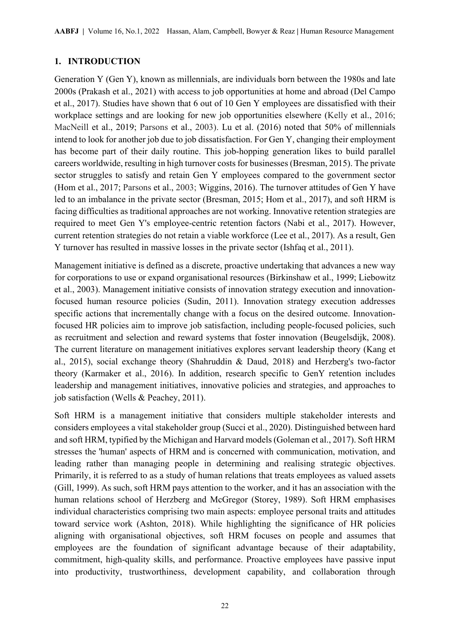#### **1. INTRODUCTION**

Generation Y (Gen Y), known as millennials, are individuals born between the 1980s and late 2000s (Prakash et al., 2021) with access to job opportunities at home and abroad (Del Campo et al., 2017). Studies have shown that 6 out of 10 Gen Y employees are dissatisfied with their workplace settings and are looking for new job opportunities elsewhere (Kelly et al., 2016; MacNeill et al., 2019; Parsons et al., 2003). Lu et al. (2016) noted that 50% of millennials intend to look for another job due to job dissatisfaction. For Gen Y, changing their employment has become part of their daily routine. This job-hopping generation likes to build parallel careers worldwide, resulting in high turnover costs for businesses (Bresman, 2015). The private sector struggles to satisfy and retain Gen Y employees compared to the government sector (Hom et al., 2017; Parsons et al., 2003; Wiggins, 2016). The turnover attitudes of Gen Y have led to an imbalance in the private sector (Bresman, 2015; Hom et al., 2017), and soft HRM is facing difficulties as traditional approaches are not working. Innovative retention strategies are required to meet Gen Y's employee-centric retention factors (Nabi et al., 2017). However, current retention strategies do not retain a viable workforce (Lee et al., 2017). As a result, Gen Y turnover has resulted in massive losses in the private sector (Ishfaq et al., 2011).

Management initiative is defined as a discrete, proactive undertaking that advances a new way for corporations to use or expand organisational resources (Birkinshaw et al., 1999; Liebowitz et al., 2003). Management initiative consists of innovation strategy execution and innovationfocused human resource policies (Sudin, 2011). Innovation strategy execution addresses specific actions that incrementally change with a focus on the desired outcome. Innovationfocused HR policies aim to improve job satisfaction, including people-focused policies, such as recruitment and selection and reward systems that foster innovation (Beugelsdijk, 2008). The current literature on management initiatives explores servant leadership theory (Kang et al., 2015), social exchange theory (Shahruddin & Daud, 2018) and Herzberg's two-factor theory (Karmaker et al., 2016). In addition, research specific to GenY retention includes leadership and management initiatives, innovative policies and strategies, and approaches to job satisfaction (Wells & Peachey, 2011).

Soft HRM is a management initiative that considers multiple stakeholder interests and considers employees a vital stakeholder group (Succi et al., 2020). Distinguished between hard and soft HRM, typified by the Michigan and Harvard models(Goleman et al., 2017). Soft HRM stresses the 'human' aspects of HRM and is concerned with communication, motivation, and leading rather than managing people in determining and realising strategic objectives. Primarily, it is referred to as a study of human relations that treats employees as valued assets (Gill, 1999). As such, soft HRM pays attention to the worker, and it has an association with the human relations school of Herzberg and McGregor (Storey, 1989). Soft HRM emphasises individual characteristics comprising two main aspects: employee personal traits and attitudes toward service work (Ashton, 2018). While highlighting the significance of HR policies aligning with organisational objectives, soft HRM focuses on people and assumes that employees are the foundation of significant advantage because of their adaptability, commitment, high-quality skills, and performance. Proactive employees have passive input into productivity, trustworthiness, development capability, and collaboration through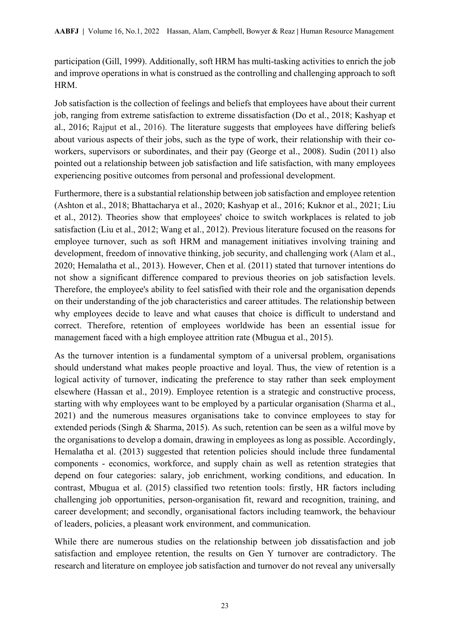participation (Gill, 1999). Additionally, soft HRM has multi-tasking activities to enrich the job and improve operations in what is construed as the controlling and challenging approach to soft HRM.

Job satisfaction is the collection of feelings and beliefs that employees have about their current job, ranging from extreme satisfaction to extreme dissatisfaction (Do et al., 2018; Kashyap et al., 2016; Rajput et al., 2016). The literature suggests that employees have differing beliefs about various aspects of their jobs, such as the type of work, their relationship with their coworkers, supervisors or subordinates, and their pay (George et al., 2008). Sudin (2011) also pointed out a relationship between job satisfaction and life satisfaction, with many employees experiencing positive outcomes from personal and professional development.

Furthermore, there is a substantial relationship between job satisfaction and employee retention (Ashton et al., 2018; Bhattacharya et al., 2020; Kashyap et al., 2016; Kuknor et al., 2021; Liu et al., 2012). Theories show that employees' choice to switch workplaces is related to job satisfaction (Liu et al., 2012; Wang et al., 2012). Previous literature focused on the reasons for employee turnover, such as soft HRM and management initiatives involving training and development, freedom of innovative thinking, job security, and challenging work (Alam et al., 2020; Hemalatha et al., 2013). However, Chen et al. (2011) stated that turnover intentions do not show a significant difference compared to previous theories on job satisfaction levels. Therefore, the employee's ability to feel satisfied with their role and the organisation depends on their understanding of the job characteristics and career attitudes. The relationship between why employees decide to leave and what causes that choice is difficult to understand and correct. Therefore, retention of employees worldwide has been an essential issue for management faced with a high employee attrition rate (Mbugua et al., 2015).

As the turnover intention is a fundamental symptom of a universal problem, organisations should understand what makes people proactive and loyal. Thus, the view of retention is a logical activity of turnover, indicating the preference to stay rather than seek employment elsewhere (Hassan et al., 2019). Employee retention is a strategic and constructive process, starting with why employees want to be employed by a particular organisation (Sharma et al., 2021) and the numerous measures organisations take to convince employees to stay for extended periods (Singh & Sharma, 2015). As such, retention can be seen as a wilful move by the organisations to develop a domain, drawing in employees as long as possible. Accordingly, Hemalatha et al. (2013) suggested that retention policies should include three fundamental components - economics, workforce, and supply chain as well as retention strategies that depend on four categories: salary, job enrichment, working conditions, and education. In contrast, Mbugua et al. (2015) classified two retention tools: firstly, HR factors including challenging job opportunities, person-organisation fit, reward and recognition, training, and career development; and secondly, organisational factors including teamwork, the behaviour of leaders, policies, a pleasant work environment, and communication.

While there are numerous studies on the relationship between job dissatisfaction and job satisfaction and employee retention, the results on Gen Y turnover are contradictory. The research and literature on employee job satisfaction and turnover do not reveal any universally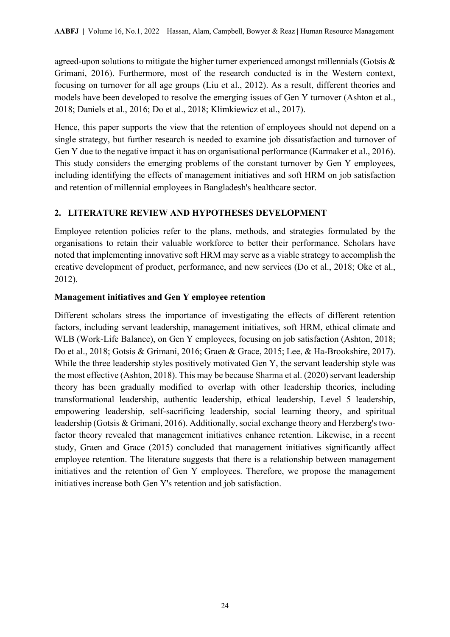agreed-upon solutions to mitigate the higher turner experienced amongst millennials (Gotsis  $\&$ Grimani, 2016). Furthermore, most of the research conducted is in the Western context, focusing on turnover for all age groups (Liu et al., 2012). As a result, different theories and models have been developed to resolve the emerging issues of Gen Y turnover (Ashton et al., 2018; Daniels et al., 2016; Do et al., 2018; Klimkiewicz et al., 2017).

Hence, this paper supports the view that the retention of employees should not depend on a single strategy, but further research is needed to examine job dissatisfaction and turnover of Gen Y due to the negative impact it has on organisational performance (Karmaker et al., 2016). This study considers the emerging problems of the constant turnover by Gen Y employees, including identifying the effects of management initiatives and soft HRM on job satisfaction and retention of millennial employees in Bangladesh's healthcare sector.

# **2. LITERATURE REVIEW AND HYPOTHESES DEVELOPMENT**

Employee retention policies refer to the plans, methods, and strategies formulated by the organisations to retain their valuable workforce to better their performance. Scholars have noted that implementing innovative soft HRM may serve as a viable strategy to accomplish the creative development of product, performance, and new services (Do et al., 2018; Oke et al., 2012).

# **Management initiatives and Gen Y employee retention**

Different scholars stress the importance of investigating the effects of different retention factors, including servant leadership, management initiatives, soft HRM, ethical climate and WLB (Work-Life Balance), on Gen Y employees, focusing on job satisfaction (Ashton, 2018; Do et al., 2018; Gotsis & Grimani, 2016; Graen & Grace, 2015; Lee, & Ha-Brookshire, 2017). While the three leadership styles positively motivated Gen Y, the servant leadership style was the most effective (Ashton, 2018). This may be because Sharma et al. (2020) servant leadership theory has been gradually modified to overlap with other leadership theories, including transformational leadership, authentic leadership, ethical leadership, Level 5 leadership, empowering leadership, self-sacrificing leadership, social learning theory, and spiritual leadership (Gotsis & Grimani, 2016). Additionally, social exchange theory and Herzberg's twofactor theory revealed that management initiatives enhance retention. Likewise, in a recent study, Graen and Grace (2015) concluded that management initiatives significantly affect employee retention. The literature suggests that there is a relationship between management initiatives and the retention of Gen Y employees. Therefore, we propose the management initiatives increase both Gen Y's retention and job satisfaction.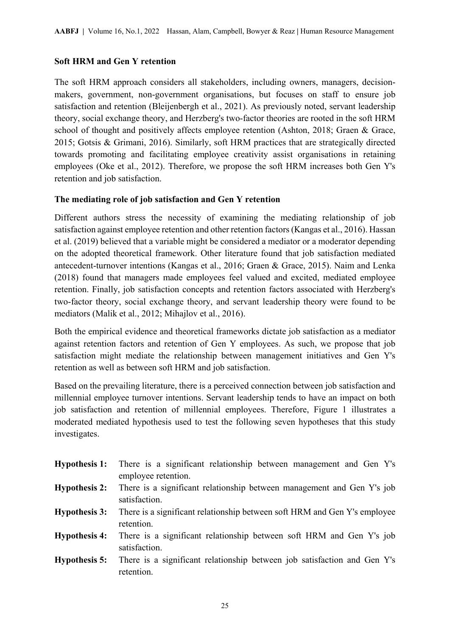#### **Soft HRM and Gen Y retention**

The soft HRM approach considers all stakeholders, including owners, managers, decisionmakers, government, non-government organisations, but focuses on staff to ensure job satisfaction and retention (Bleijenbergh et al., 2021). As previously noted, servant leadership theory, social exchange theory, and Herzberg's two-factor theories are rooted in the soft HRM school of thought and positively affects employee retention (Ashton, 2018; Graen & Grace, 2015; Gotsis & Grimani, 2016). Similarly, soft HRM practices that are strategically directed towards promoting and facilitating employee creativity assist organisations in retaining employees (Oke et al., 2012). Therefore, we propose the soft HRM increases both Gen Y's retention and job satisfaction.

#### **The mediating role of job satisfaction and Gen Y retention**

Different authors stress the necessity of examining the mediating relationship of job satisfaction against employee retention and other retention factors(Kangas et al., 2016). Hassan et al. (2019) believed that a variable might be considered a mediator or a moderator depending on the adopted theoretical framework. Other literature found that job satisfaction mediated antecedent-turnover intentions (Kangas et al., 2016; Graen & Grace, 2015). Naim and Lenka (2018) found that managers made employees feel valued and excited, mediated employee retention. Finally, job satisfaction concepts and retention factors associated with Herzberg's two-factor theory, social exchange theory, and servant leadership theory were found to be mediators (Malik et al., 2012; Mihajlov et al., 2016).

Both the empirical evidence and theoretical frameworks dictate job satisfaction as a mediator against retention factors and retention of Gen Y employees. As such, we propose that job satisfaction might mediate the relationship between management initiatives and Gen Y's retention as well as between soft HRM and job satisfaction.

Based on the prevailing literature, there is a perceived connection between job satisfaction and millennial employee turnover intentions. Servant leadership tends to have an impact on both job satisfaction and retention of millennial employees. Therefore, Figure 1 illustrates a moderated mediated hypothesis used to test the following seven hypotheses that this study investigates.

| <b>Hypothesis 1:</b> | There is a significant relationship between management and Gen Y's<br>employee retention. |
|----------------------|-------------------------------------------------------------------------------------------|
| <b>Hypothesis 2:</b> | There is a significant relationship between management and Gen Y's job<br>satisfaction.   |
| <b>Hypothesis 3:</b> | There is a significant relationship between soft HRM and Gen Y's employee<br>retention.   |
| <b>Hypothesis 4:</b> | There is a significant relationship between soft HRM and Gen Y's job<br>satisfaction.     |
| <b>Hypothesis 5:</b> | There is a significant relationship between job satisfaction and Gen Y's<br>retention.    |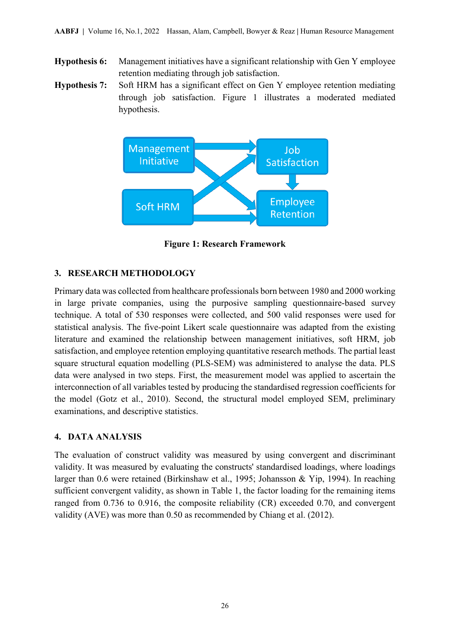- **Hypothesis 6:** Management initiatives have a significant relationship with Gen Y employee retention mediating through job satisfaction.
- **Hypothesis 7:** Soft HRM has a significant effect on Gen Y employee retention mediating through job satisfaction. Figure 1 illustrates a moderated mediated hypothesis.



**Figure 1: Research Framework**

# **3. RESEARCH METHODOLOGY**

Primary data was collected from healthcare professionals born between 1980 and 2000 working in large private companies, using the purposive sampling questionnaire-based survey technique. A total of 530 responses were collected, and 500 valid responses were used for statistical analysis. The five-point Likert scale questionnaire was adapted from the existing literature and examined the relationship between management initiatives, soft HRM, job satisfaction, and employee retention employing quantitative research methods. The partial least square structural equation modelling (PLS-SEM) was administered to analyse the data. PLS data were analysed in two steps. First, the measurement model was applied to ascertain the interconnection of all variables tested by producing the standardised regression coefficients for the model (Gotz et al., 2010). Second, the structural model employed SEM, preliminary examinations, and descriptive statistics.

# **4. DATA ANALYSIS**

The evaluation of construct validity was measured by using convergent and discriminant validity. It was measured by evaluating the constructs' standardised loadings, where loadings larger than 0.6 were retained (Birkinshaw et al., 1995; Johansson & Yip, 1994). In reaching sufficient convergent validity, as shown in Table 1, the factor loading for the remaining items ranged from 0.736 to 0.916, the composite reliability (CR) exceeded 0.70, and convergent validity (AVE) was more than 0.50 as recommended by Chiang et al. (2012).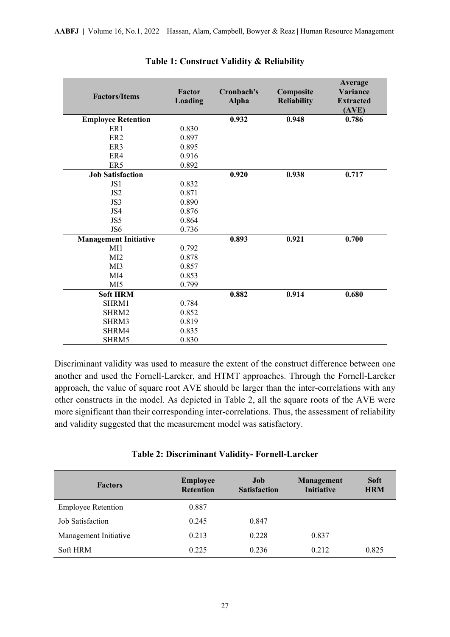| <b>Factors/Items</b>         | <b>Factor</b><br><b>Loading</b> | Cronbach's<br><b>Alpha</b> | Composite<br><b>Reliability</b> | Average<br>Variance<br><b>Extracted</b><br>(AVE) |
|------------------------------|---------------------------------|----------------------------|---------------------------------|--------------------------------------------------|
| <b>Employee Retention</b>    |                                 | 0.932                      | 0.948                           | 0.786                                            |
| ER1                          | 0.830                           |                            |                                 |                                                  |
| ER <sub>2</sub>              | 0.897                           |                            |                                 |                                                  |
| ER3                          | 0.895                           |                            |                                 |                                                  |
| ER4                          | 0.916                           |                            |                                 |                                                  |
| ER5                          | 0.892                           |                            |                                 |                                                  |
| <b>Job Satisfaction</b>      |                                 | 0.920                      | 0.938                           | 0.717                                            |
| JS1                          | 0.832                           |                            |                                 |                                                  |
| JS <sub>2</sub>              | 0.871                           |                            |                                 |                                                  |
| JS3                          | 0.890                           |                            |                                 |                                                  |
| JS4                          | 0.876                           |                            |                                 |                                                  |
| JS5                          | 0.864                           |                            |                                 |                                                  |
| JS6                          | 0.736                           |                            |                                 |                                                  |
| <b>Management Initiative</b> |                                 | 0.893                      | 0.921                           | 0.700                                            |
| M11                          | 0.792                           |                            |                                 |                                                  |
| MI2                          | 0.878                           |                            |                                 |                                                  |
| M <sub>I</sub> 3             | 0.857                           |                            |                                 |                                                  |
| MI4                          | 0.853                           |                            |                                 |                                                  |
| MI5                          | 0.799                           |                            |                                 |                                                  |
| <b>Soft HRM</b>              |                                 | 0.882                      | 0.914                           | 0.680                                            |
| SHRM1                        | 0.784                           |                            |                                 |                                                  |
| SHRM2                        | 0.852                           |                            |                                 |                                                  |
| SHRM3                        | 0.819                           |                            |                                 |                                                  |
| SHRM4                        | 0.835                           |                            |                                 |                                                  |
| SHRM5                        | 0.830                           |                            |                                 |                                                  |

**Table 1: Construct Validity & Reliability**

Discriminant validity was used to measure the extent of the construct difference between one another and used the Fornell-Larcker, and HTMT approaches. Through the Fornell-Larcker approach, the value of square root AVE should be larger than the inter-correlations with any other constructs in the model. As depicted in Table 2, all the square roots of the AVE were more significant than their corresponding inter-correlations. Thus, the assessment of reliability and validity suggested that the measurement model was satisfactory.

| <b>Factors</b>            | <b>Employee</b><br><b>Retention</b> | Job<br><b>Satisfaction</b> | Management<br><b>Initiative</b> | <b>Soft</b><br><b>HRM</b> |
|---------------------------|-------------------------------------|----------------------------|---------------------------------|---------------------------|
| <b>Employee Retention</b> | 0.887                               |                            |                                 |                           |
| Job Satisfaction          | 0.245                               | 0.847                      |                                 |                           |
| Management Initiative     | 0.213                               | 0.228                      | 0.837                           |                           |
| Soft HRM                  | 0.225                               | 0.236                      | 0.212                           | 0.825                     |

#### **Table 2: Discriminant Validity- Fornell-Larcker**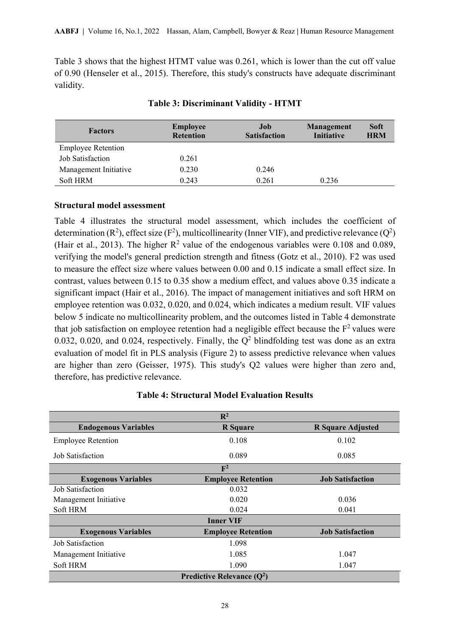Table 3 shows that the highest HTMT value was 0.261, which is lower than the cut off value of 0.90 (Henseler et al., 2015). Therefore, this study's constructs have adequate discriminant validity.

| <b>Factors</b>            | <b>Employee</b><br><b>Retention</b> | Job<br><b>Satisfaction</b> | <b>Management</b><br>Initiative | Soft<br><b>HRM</b> |
|---------------------------|-------------------------------------|----------------------------|---------------------------------|--------------------|
| <b>Employee Retention</b> |                                     |                            |                                 |                    |
| Job Satisfaction          | 0.261                               |                            |                                 |                    |
| Management Initiative     | 0.230                               | 0.246                      |                                 |                    |
| Soft HRM                  | 0.243                               | 0.261                      | 0.236                           |                    |

#### **Table 3: Discriminant Validity - HTMT**

#### **Structural model assessment**

Table 4 illustrates the structural model assessment, which includes the coefficient of determination ( $\mathbb{R}^2$ ), effect size ( $\mathbb{F}^2$ ), multicollinearity (Inner VIF), and predictive relevance ( $\mathbb{Q}^2$ ) (Hair et al., 2013). The higher  $R^2$  value of the endogenous variables were 0.108 and 0.089, verifying the model's general prediction strength and fitness (Gotz et al., 2010). F2 was used to measure the effect size where values between 0.00 and 0.15 indicate a small effect size. In contrast, values between 0.15 to 0.35 show a medium effect, and values above 0.35 indicate a significant impact (Hair et al., 2016). The impact of management initiatives and soft HRM on employee retention was 0.032, 0.020, and 0.024, which indicates a medium result. VIF values below 5 indicate no multicollinearity problem, and the outcomes listed in Table 4 demonstrate that job satisfaction on employee retention had a negligible effect because the  $F<sup>2</sup>$  values were 0.032, 0.020, and 0.024, respectively. Finally, the  $Q^2$  blindfolding test was done as an extra evaluation of model fit in PLS analysis (Figure 2) to assess predictive relevance when values are higher than zero (Geisser, 1975). This study's Q2 values were higher than zero and, therefore, has predictive relevance.

| $\mathbb{R}^2$                                 |                           |                          |  |  |  |  |  |
|------------------------------------------------|---------------------------|--------------------------|--|--|--|--|--|
| <b>Endogenous Variables</b>                    | <b>R</b> Square           | <b>R</b> Square Adjusted |  |  |  |  |  |
| <b>Employee Retention</b>                      | 0.108                     | 0.102                    |  |  |  |  |  |
| Job Satisfaction                               | 0.089                     | 0.085                    |  |  |  |  |  |
|                                                | $\mathbf{F}^2$            |                          |  |  |  |  |  |
| <b>Exogenous Variables</b>                     | <b>Employee Retention</b> | <b>Job Satisfaction</b>  |  |  |  |  |  |
| Job Satisfaction                               | 0.032                     |                          |  |  |  |  |  |
| Management Initiative                          | 0.020                     | 0.036                    |  |  |  |  |  |
| <b>Soft HRM</b>                                | 0.024                     | 0.041                    |  |  |  |  |  |
| <b>Inner VIF</b>                               |                           |                          |  |  |  |  |  |
| <b>Exogenous Variables</b>                     | <b>Employee Retention</b> | <b>Job Satisfaction</b>  |  |  |  |  |  |
| Job Satisfaction                               | 1.098                     |                          |  |  |  |  |  |
| Management Initiative                          | 1.085                     | 1.047                    |  |  |  |  |  |
| Soft HRM                                       | 1.090                     | 1.047                    |  |  |  |  |  |
| <b>Predictive Relevance (<math>Q^2</math>)</b> |                           |                          |  |  |  |  |  |

#### **Table 4: Structural Model Evaluation Results**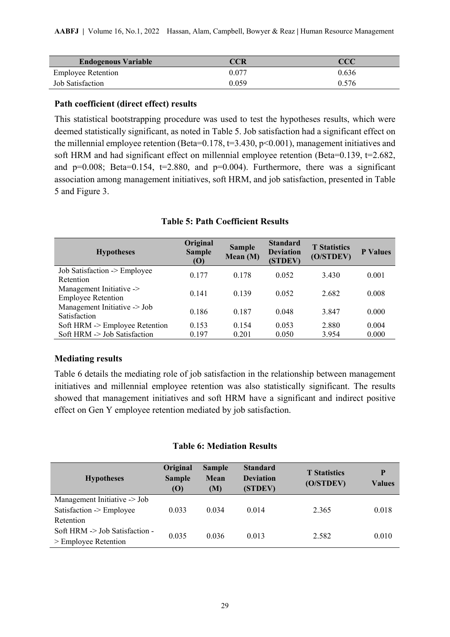| <b>Endogenous Variable</b> | CCR   | CCC   |
|----------------------------|-------|-------|
| <b>Employee Retention</b>  | 0.077 | 0.636 |
| Job Satisfaction           | 0.059 | 0.576 |

#### **Path coefficient (direct effect) results**

This statistical bootstrapping procedure was used to test the hypotheses results, which were deemed statistically significant, as noted in Table 5. Job satisfaction had a significant effect on the millennial employee retention (Beta=0.178, t=3.430, p<0.001), management initiatives and soft HRM and had significant effect on millennial employee retention (Beta=0.139, t=2.682, and  $p=0.008$ ; Beta=0.154, t=2.880, and  $p=0.004$ ). Furthermore, there was a significant association among management initiatives, soft HRM, and job satisfaction, presented in Table 5 and Figure 3.

|                                | Original                        |                           | <b>Standard</b>             |                                  |                 |
|--------------------------------|---------------------------------|---------------------------|-----------------------------|----------------------------------|-----------------|
| <b>Hypotheses</b>              | <b>Sample</b><br>$\mathbf{(O)}$ | <b>Sample</b><br>Mean (M) | <b>Deviation</b><br>(STDEV) | <b>T</b> Statistics<br>(O/STDEV) | <b>P</b> Values |
| Job Satisfaction -> Employee   | 0.177                           | 0.178                     | 0.052                       | 3.430                            | 0.001           |
| Retention                      |                                 |                           |                             |                                  |                 |
| Management Initiative ->       |                                 |                           |                             |                                  |                 |
| <b>Employee Retention</b>      | 0.141                           | 0.139                     | 0.052                       | 2.682                            | 0.008           |
| Management Initiative -> Job   |                                 |                           |                             |                                  |                 |
| Satisfaction                   | 0.186                           | 0.187                     | 0.048                       | 3.847                            | 0.000           |
| Soft HRM -> Employee Retention | 0.153                           | 0.154                     | 0.053                       | 2.880                            | 0.004           |
| Soft HRM -> Job Satisfaction   | 0.197                           | 0.201                     | 0.050                       | 3.954                            | 0.000           |

# **Table 5: Path Coefficient Results**

# **Mediating results**

Table 6 details the mediating role of job satisfaction in the relationship between management initiatives and millennial employee retention was also statistically significant. The results showed that management initiatives and soft HRM have a significant and indirect positive effect on Gen Y employee retention mediated by job satisfaction.

# **Table 6: Mediation Results**

| <b>Hypotheses</b>                         | Original<br><b>Sample</b><br>(O) | <b>Sample</b><br>Mean<br>(M) | <b>Standard</b><br><b>Deviation</b><br>(STDEV) | <b>T</b> Statistics<br>(O/STDEV) | p<br><b>Values</b> |
|-------------------------------------------|----------------------------------|------------------------------|------------------------------------------------|----------------------------------|--------------------|
| Management Initiative -> Job              |                                  |                              |                                                |                                  |                    |
| Satisfaction -> Employee                  | 0.033                            | 0.034                        | 0.014                                          | 2.365                            | 0.018              |
| Retention                                 |                                  |                              |                                                |                                  |                    |
| Soft HRM $\rightarrow$ Job Satisfaction - | 0.035                            | 0.036                        | 0.013                                          | 2.582                            | 0.010              |
| > Employee Retention                      |                                  |                              |                                                |                                  |                    |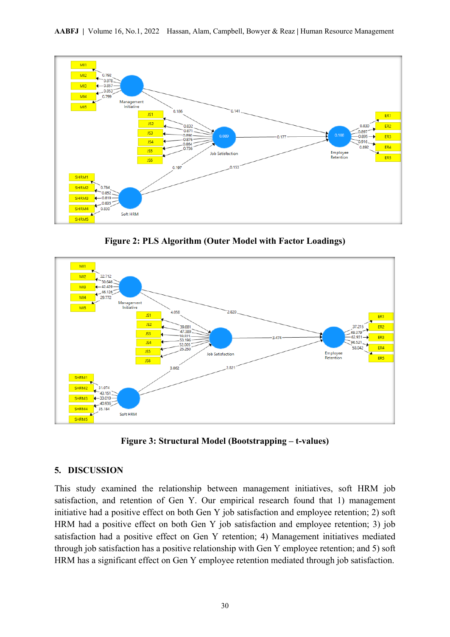

**Figure 2: PLS Algorithm (Outer Model with Factor Loadings)**



**Figure 3: Structural Model (Bootstrapping – t-values)**

#### **5. DISCUSSION**

This study examined the relationship between management initiatives, soft HRM job satisfaction, and retention of Gen Y. Our empirical research found that 1) management initiative had a positive effect on both Gen Y job satisfaction and employee retention; 2) soft HRM had a positive effect on both Gen Y job satisfaction and employee retention; 3) job satisfaction had a positive effect on Gen Y retention; 4) Management initiatives mediated through job satisfaction has a positive relationship with Gen Y employee retention; and 5) soft HRM has a significant effect on Gen Y employee retention mediated through job satisfaction.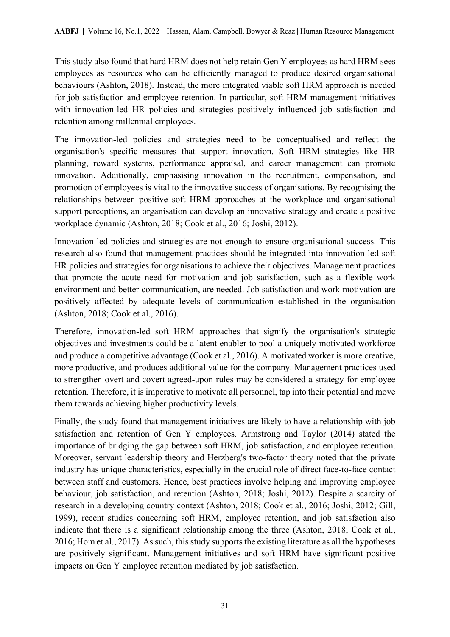This study also found that hard HRM does not help retain Gen Y employees as hard HRM sees employees as resources who can be efficiently managed to produce desired organisational behaviours (Ashton, 2018). Instead, the more integrated viable soft HRM approach is needed for job satisfaction and employee retention. In particular, soft HRM management initiatives with innovation-led HR policies and strategies positively influenced job satisfaction and retention among millennial employees.

The innovation-led policies and strategies need to be conceptualised and reflect the organisation's specific measures that support innovation. Soft HRM strategies like HR planning, reward systems, performance appraisal, and career management can promote innovation. Additionally, emphasising innovation in the recruitment, compensation, and promotion of employees is vital to the innovative success of organisations. By recognising the relationships between positive soft HRM approaches at the workplace and organisational support perceptions, an organisation can develop an innovative strategy and create a positive workplace dynamic (Ashton, 2018; Cook et al., 2016; Joshi, 2012).

Innovation-led policies and strategies are not enough to ensure organisational success. This research also found that management practices should be integrated into innovation-led soft HR policies and strategies for organisations to achieve their objectives. Management practices that promote the acute need for motivation and job satisfaction, such as a flexible work environment and better communication, are needed. Job satisfaction and work motivation are positively affected by adequate levels of communication established in the organisation (Ashton, 2018; Cook et al., 2016).

Therefore, innovation-led soft HRM approaches that signify the organisation's strategic objectives and investments could be a latent enabler to pool a uniquely motivated workforce and produce a competitive advantage (Cook et al., 2016). A motivated worker is more creative, more productive, and produces additional value for the company. Management practices used to strengthen overt and covert agreed-upon rules may be considered a strategy for employee retention. Therefore, it is imperative to motivate all personnel, tap into their potential and move them towards achieving higher productivity levels.

Finally, the study found that management initiatives are likely to have a relationship with job satisfaction and retention of Gen Y employees. Armstrong and Taylor (2014) stated the importance of bridging the gap between soft HRM, job satisfaction, and employee retention. Moreover, servant leadership theory and Herzberg's two-factor theory noted that the private industry has unique characteristics, especially in the crucial role of direct face-to-face contact between staff and customers. Hence, best practices involve helping and improving employee behaviour, job satisfaction, and retention (Ashton, 2018; Joshi, 2012). Despite a scarcity of research in a developing country context (Ashton, 2018; Cook et al., 2016; Joshi, 2012; Gill, 1999), recent studies concerning soft HRM, employee retention, and job satisfaction also indicate that there is a significant relationship among the three (Ashton, 2018; Cook et al., 2016; Hom et al., 2017). As such, this study supports the existing literature as all the hypotheses are positively significant. Management initiatives and soft HRM have significant positive impacts on Gen Y employee retention mediated by job satisfaction.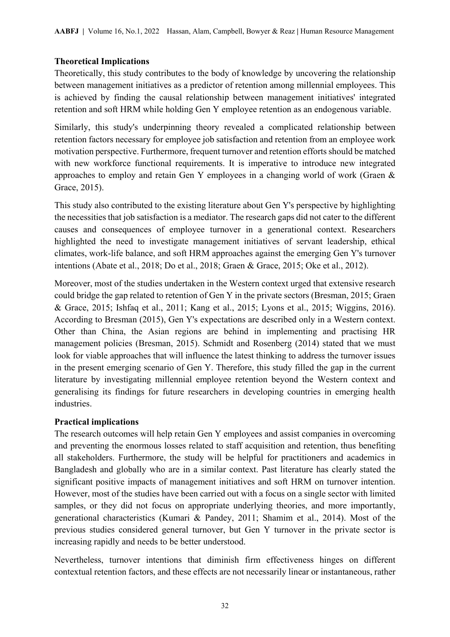# **Theoretical Implications**

Theoretically, this study contributes to the body of knowledge by uncovering the relationship between management initiatives as a predictor of retention among millennial employees. This is achieved by finding the causal relationship between management initiatives' integrated retention and soft HRM while holding Gen Y employee retention as an endogenous variable.

Similarly, this study's underpinning theory revealed a complicated relationship between retention factors necessary for employee job satisfaction and retention from an employee work motivation perspective. Furthermore, frequent turnover and retention efforts should be matched with new workforce functional requirements. It is imperative to introduce new integrated approaches to employ and retain Gen Y employees in a changing world of work (Graen & Grace, 2015).

This study also contributed to the existing literature about Gen Y's perspective by highlighting the necessities that job satisfaction is a mediator. The research gaps did not cater to the different causes and consequences of employee turnover in a generational context. Researchers highlighted the need to investigate management initiatives of servant leadership, ethical climates, work-life balance, and soft HRM approaches against the emerging Gen Y's turnover intentions (Abate et al., 2018; Do et al., 2018; Graen & Grace, 2015; Oke et al., 2012).

Moreover, most of the studies undertaken in the Western context urged that extensive research could bridge the gap related to retention of Gen Y in the private sectors (Bresman, 2015; Graen & Grace, 2015; Ishfaq et al., 2011; Kang et al., 2015; Lyons et al., 2015; Wiggins, 2016). According to Bresman (2015), Gen Y's expectations are described only in a Western context. Other than China, the Asian regions are behind in implementing and practising HR management policies (Bresman, 2015). Schmidt and Rosenberg (2014) stated that we must look for viable approaches that will influence the latest thinking to address the turnover issues in the present emerging scenario of Gen Y. Therefore, this study filled the gap in the current literature by investigating millennial employee retention beyond the Western context and generalising its findings for future researchers in developing countries in emerging health industries.

# **Practical implications**

The research outcomes will help retain Gen Y employees and assist companies in overcoming and preventing the enormous losses related to staff acquisition and retention, thus benefiting all stakeholders. Furthermore, the study will be helpful for practitioners and academics in Bangladesh and globally who are in a similar context. Past literature has clearly stated the significant positive impacts of management initiatives and soft HRM on turnover intention. However, most of the studies have been carried out with a focus on a single sector with limited samples, or they did not focus on appropriate underlying theories, and more importantly, generational characteristics (Kumari & Pandey, 2011; Shamim et al., 2014). Most of the previous studies considered general turnover, but Gen Y turnover in the private sector is increasing rapidly and needs to be better understood.

Nevertheless, turnover intentions that diminish firm effectiveness hinges on different contextual retention factors, and these effects are not necessarily linear or instantaneous, rather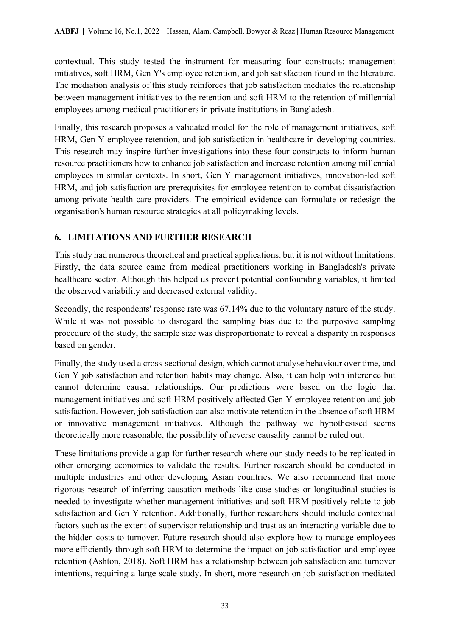contextual. This study tested the instrument for measuring four constructs: management initiatives, soft HRM, Gen Y's employee retention, and job satisfaction found in the literature. The mediation analysis of this study reinforces that job satisfaction mediates the relationship between management initiatives to the retention and soft HRM to the retention of millennial employees among medical practitioners in private institutions in Bangladesh.

Finally, this research proposes a validated model for the role of management initiatives, soft HRM, Gen Y employee retention, and job satisfaction in healthcare in developing countries. This research may inspire further investigations into these four constructs to inform human resource practitioners how to enhance job satisfaction and increase retention among millennial employees in similar contexts. In short, Gen Y management initiatives, innovation-led soft HRM, and job satisfaction are prerequisites for employee retention to combat dissatisfaction among private health care providers. The empirical evidence can formulate or redesign the organisation's human resource strategies at all policymaking levels.

# **6. LIMITATIONS AND FURTHER RESEARCH**

This study had numerous theoretical and practical applications, but it is not without limitations. Firstly, the data source came from medical practitioners working in Bangladesh's private healthcare sector. Although this helped us prevent potential confounding variables, it limited the observed variability and decreased external validity.

Secondly, the respondents' response rate was 67.14% due to the voluntary nature of the study. While it was not possible to disregard the sampling bias due to the purposive sampling procedure of the study, the sample size was disproportionate to reveal a disparity in responses based on gender.

Finally, the study used a cross-sectional design, which cannot analyse behaviour over time, and Gen Y job satisfaction and retention habits may change. Also, it can help with inference but cannot determine causal relationships. Our predictions were based on the logic that management initiatives and soft HRM positively affected Gen Y employee retention and job satisfaction. However, job satisfaction can also motivate retention in the absence of soft HRM or innovative management initiatives. Although the pathway we hypothesised seems theoretically more reasonable, the possibility of reverse causality cannot be ruled out.

These limitations provide a gap for further research where our study needs to be replicated in other emerging economies to validate the results. Further research should be conducted in multiple industries and other developing Asian countries. We also recommend that more rigorous research of inferring causation methods like case studies or longitudinal studies is needed to investigate whether management initiatives and soft HRM positively relate to job satisfaction and Gen Y retention. Additionally, further researchers should include contextual factors such as the extent of supervisor relationship and trust as an interacting variable due to the hidden costs to turnover. Future research should also explore how to manage employees more efficiently through soft HRM to determine the impact on job satisfaction and employee retention (Ashton, 2018). Soft HRM has a relationship between job satisfaction and turnover intentions, requiring a large scale study. In short, more research on job satisfaction mediated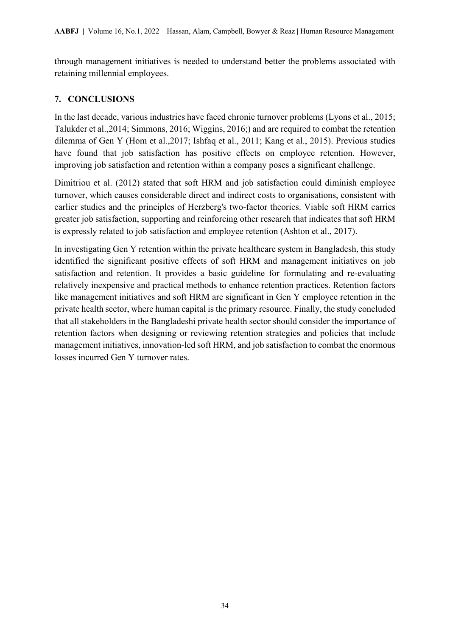through management initiatives is needed to understand better the problems associated with retaining millennial employees.

# **7. CONCLUSIONS**

In the last decade, various industries have faced chronic turnover problems (Lyons et al., 2015; Talukder et al.,2014; Simmons, 2016; Wiggins, 2016;) and are required to combat the retention dilemma of Gen Y (Hom et al.,2017; Ishfaq et al., 2011; Kang et al., 2015). Previous studies have found that job satisfaction has positive effects on employee retention. However, improving job satisfaction and retention within a company poses a significant challenge.

Dimitriou et al. (2012) stated that soft HRM and job satisfaction could diminish employee turnover, which causes considerable direct and indirect costs to organisations, consistent with earlier studies and the principles of Herzberg's two-factor theories. Viable soft HRM carries greater job satisfaction, supporting and reinforcing other research that indicates that soft HRM is expressly related to job satisfaction and employee retention (Ashton et al., 2017).

In investigating Gen Y retention within the private healthcare system in Bangladesh, this study identified the significant positive effects of soft HRM and management initiatives on job satisfaction and retention. It provides a basic guideline for formulating and re-evaluating relatively inexpensive and practical methods to enhance retention practices. Retention factors like management initiatives and soft HRM are significant in Gen Y employee retention in the private health sector, where human capital is the primary resource. Finally, the study concluded that all stakeholders in the Bangladeshi private health sector should consider the importance of retention factors when designing or reviewing retention strategies and policies that include management initiatives, innovation-led soft HRM, and job satisfaction to combat the enormous losses incurred Gen Y turnover rates.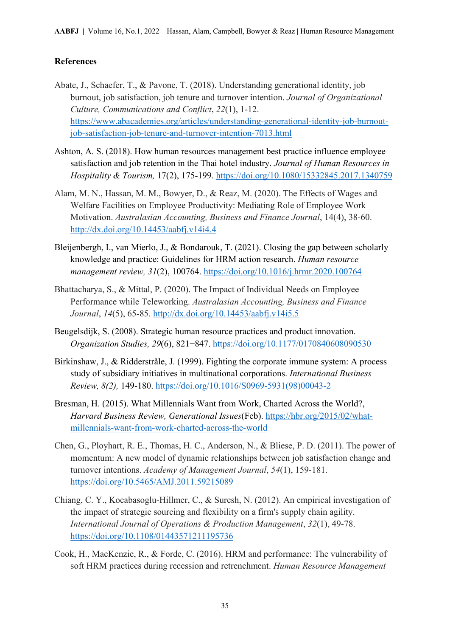# **References**

- Abate, J., Schaefer, T., & Pavone, T. (2018). Understanding generational identity, job burnout, job satisfaction, job tenure and turnover intention. *Journal of Organizational Culture, Communications and Conflict*, *22*(1), 1-12. [https://www.abacademies.org/articles/understanding-generational-identity-job-burnout](https://www.abacademies.org/articles/understanding-generational-identity-job-burnout-job-satisfaction-job-tenure-and-turnover-intention-7013.html)[job-satisfaction-job-tenure-and-turnover-intention-7013.html](https://www.abacademies.org/articles/understanding-generational-identity-job-burnout-job-satisfaction-job-tenure-and-turnover-intention-7013.html)
- Ashton, A. S. (2018). How human resources management best practice influence employee satisfaction and job retention in the Thai hotel industry. *Journal of Human Resources in Hospitality & Tourism,* 17(2), 175-199. <https://doi.org/10.1080/15332845.2017.1340759>
- Alam, M. N., Hassan, M. M., Bowyer, D., & Reaz, M. (2020). The Effects of Wages and Welfare Facilities on Employee Productivity: Mediating Role of Employee Work Motivation. *Australasian Accounting, Business and Finance Journal*, 14(4), 38-60. <http://dx.doi.org/10.14453/aabfj.v14i4.4>
- Bleijenbergh, I., van Mierlo, J., & Bondarouk, T. (2021). Closing the gap between scholarly knowledge and practice: Guidelines for HRM action research. *Human resource management review, 31*(2), 100764. <https://doi.org/10.1016/j.hrmr.2020.100764>
- Bhattacharya, S., & Mittal, P. (2020). The Impact of Individual Needs on Employee Performance while Teleworking. *Australasian Accounting, Business and Finance Journal*, *14*(5), 65-85. <http://dx.doi.org/10.14453/aabfj.v14i5.5>
- Beugelsdijk, S. (2008). Strategic human resource practices and product innovation. *Organization Studies, 29*(6), 821−847. <https://doi.org/10.1177/0170840608090530>
- Birkinshaw, J., & Ridderstråle, J. (1999). Fighting the corporate immune system: A process study of subsidiary initiatives in multinational corporations. *International Business Review, 8(2),* 149-180. [https://doi.org/10.1016/S0969-5931\(98\)00043-2](https://doi.org/10.1016/S0969-5931(98)00043-2)
- Bresman, H. (2015). What Millennials Want from Work, Charted Across the World?, *Harvard Business Review, Generational Issues*(Feb). [https://hbr.org/2015/02/what](https://hbr.org/2015/02/what-millennials-want-from-work-charted-across-the-world)[millennials-want-from-work-charted-across-the-world](https://hbr.org/2015/02/what-millennials-want-from-work-charted-across-the-world)
- Chen, G., Ployhart, R. E., Thomas, H. C., Anderson, N., & Bliese, P. D. (2011). The power of momentum: A new model of dynamic relationships between job satisfaction change and turnover intentions. *Academy of Management Journal*, *54*(1), 159-181. <https://doi.org/10.5465/AMJ.2011.59215089>
- Chiang, C. Y., Kocabasoglu‐Hillmer, C., & Suresh, N. (2012). An empirical investigation of the impact of strategic sourcing and flexibility on a firm's supply chain agility. *International Journal of Operations & Production Management*, *32*(1), 49-78. <https://doi.org/10.1108/01443571211195736>
- Cook, H., MacKenzie, R., & Forde, C. (2016). HRM and performance: The vulnerability of soft HRM practices during recession and retrenchment. *Human Resource Management*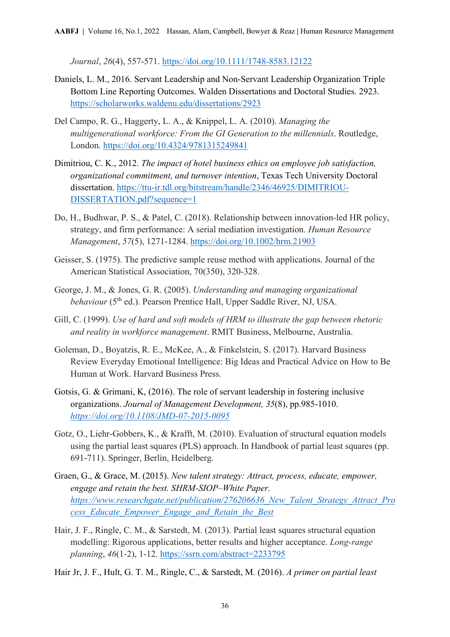*Journal*, *26*(4), 557-571. <https://doi.org/10.1111/1748-8583.12122>

- Daniels, L. M., 2016. Servant Leadership and Non-Servant Leadership Organization Triple Bottom Line Reporting Outcomes. Walden Dissertations and Doctoral Studies. 2923. <https://scholarworks.waldenu.edu/dissertations/2923>
- Del Campo, R. G., Haggerty, L. A., & Knippel, L. A. (2010). *Managing the multigenerational workforce: From the GI Generation to the millennials*. Routledge, London. <https://doi.org/10.4324/9781315249841>
- Dimitriou, C. K., 2012. *The impact of hotel business ethics on employee job satisfaction, organizational commitment, and turnover intention*, Texas Tech University Doctoral dissertation. [https://ttu-ir.tdl.org/bitstream/handle/2346/46925/DIMITRIOU-](https://ttu-ir.tdl.org/bitstream/handle/2346/46925/DIMITRIOU-DISSERTATION.pdf?sequence=1)[DISSERTATION.pdf?sequence=1](https://ttu-ir.tdl.org/bitstream/handle/2346/46925/DIMITRIOU-DISSERTATION.pdf?sequence=1)
- Do, H., Budhwar, P. S., & Patel, C. (2018). Relationship between innovation‐led HR policy, strategy, and firm performance: A serial mediation investigation. *Human Resource Management*, *57*(5), 1271-1284. <https://doi.org/10.1002/hrm.21903>
- Geisser, S. (1975). The predictive sample reuse method with applications. Journal of the American Statistical Association, 70(350), 320-328.
- George, J. M., & Jones, G. R. (2005). *Understanding and managing organizational behaviour* (5<sup>th</sup> ed.). Pearson Prentice Hall, Upper Saddle River, NJ, USA.
- Gill, C. (1999). *Use of hard and soft models of HRM to illustrate the gap between rhetoric and reality in workforce management*. RMIT Business, Melbourne, Australia.
- Goleman, D., Boyatzis, R. E., McKee, A., & Finkelstein, S. (2017). Harvard Business Review Everyday Emotional Intelligence: Big Ideas and Practical Advice on How to Be Human at Work. Harvard Business Press.
- Gotsis, G. & Grimani, K, (2016). The role of servant leadership in fostering inclusive organizations. *Journal of Management Development, 35*(8), pp.985-1010. *<https://doi.org/10.1108/JMD-07-2015-0095>*
- Gotz, O., Liehr-Gobbers, K., & Krafft, M. (2010). Evaluation of structural equation models using the partial least squares (PLS) approach. In Handbook of partial least squares (pp. 691-711). Springer, Berlin, Heidelberg.
- Graen, G., & Grace, M. (2015). *New talent strategy: Attract, process, educate, empower, engage and retain the best. SHRM-SIOP–White Paper. [https://www.researchgate.net/publication/276206636\\_New\\_Talent\\_Strategy\\_Attract\\_Pro](https://www.researchgate.net/publication/276206636_New_Talent_Strategy_Attract_Process_Educate_Empower_Engage_and_Retain_the_Best) [cess\\_Educate\\_Empower\\_Engage\\_and\\_Retain\\_the\\_Best](https://www.researchgate.net/publication/276206636_New_Talent_Strategy_Attract_Process_Educate_Empower_Engage_and_Retain_the_Best)*
- Hair, J. F., Ringle, C. M., & Sarstedt, M. (2013). Partial least squares structural equation modelling: Rigorous applications, better results and higher acceptance. *Long-range planning*, *46*(1-2), 1-12. <https://ssrn.com/abstract=2233795>

Hair Jr, J. F., Hult, G. T. M., Ringle, C., & Sarstedt, M. (2016). *A primer on partial least*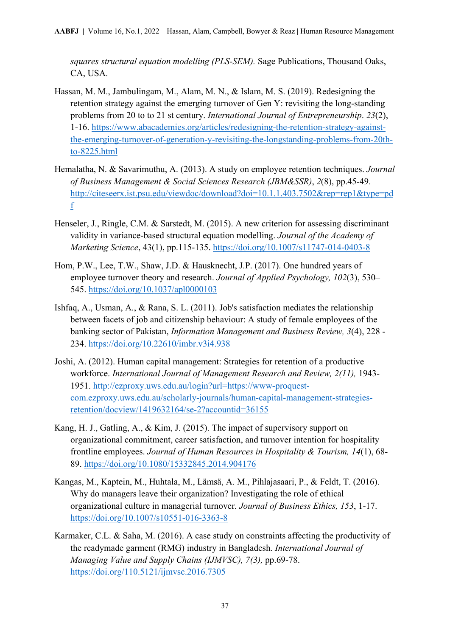*squares structural equation modelling (PLS-SEM).* Sage Publications, Thousand Oaks, CA, USA.

- Hassan, M. M., Jambulingam, M., Alam, M. N., & Islam, M. S. (2019). Redesigning the retention strategy against the emerging turnover of Gen Y: revisiting the long-standing problems from 20 to to 21 st century. *International Journal of Entrepreneurship*. *23*(2), 1-16. [https://www.abacademies.org/articles/redesigning-the-retention-strategy-against](https://www.abacademies.org/articles/redesigning-the-retention-strategy-against-the-emerging-turnover-of-generation-y-revisiting-the-longstanding-problems-from-20th-to-8225.html)[the-emerging-turnover-of-generation-y-revisiting-the-longstanding-problems-from-20th](https://www.abacademies.org/articles/redesigning-the-retention-strategy-against-the-emerging-turnover-of-generation-y-revisiting-the-longstanding-problems-from-20th-to-8225.html)[to-8225.html](https://www.abacademies.org/articles/redesigning-the-retention-strategy-against-the-emerging-turnover-of-generation-y-revisiting-the-longstanding-problems-from-20th-to-8225.html)
- Hemalatha, N. & Savarimuthu, A. (2013). A study on employee retention techniques. *Journal of Business Management & Social Sciences Research (JBM&SSR)*, *2*(8), pp.45-49. [http://citeseerx.ist.psu.edu/viewdoc/download?doi=10.1.1.403.7502&rep=rep1&type=pd](http://citeseerx.ist.psu.edu/viewdoc/download?doi=10.1.1.403.7502&rep=rep1&type=pdf) [f](http://citeseerx.ist.psu.edu/viewdoc/download?doi=10.1.1.403.7502&rep=rep1&type=pdf)
- Henseler, J., Ringle, C.M. & Sarstedt, M. (2015). A new criterion for assessing discriminant validity in variance-based structural equation modelling. *Journal of the Academy of Marketing Science*, 43(1), pp.115-135. <https://doi.org/10.1007/s11747-014-0403-8>
- Hom, P.W., Lee, T.W., Shaw, J.D. & Hausknecht, J.P. (2017). One hundred years of employee turnover theory and research. *Journal of Applied Psychology, 102*(3), 530– 545. <https://doi.org/10.1037/apl0000103>
- Ishfaq, A., Usman, A., & Rana, S. L. (2011). Job's satisfaction mediates the relationship between facets of job and citizenship behaviour: A study of female employees of the banking sector of Pakistan, *Information Management and Business Review, 3*(4), 228 - 234. <https://doi.org/10.22610/imbr.v3i4.938>
- Joshi, A. (2012). Human capital management: Strategies for retention of a productive workforce. *International Journal of Management Research and Review, 2(11),* 1943- 1951. [http://ezproxy.uws.edu.au/login?url=https://www-proquest](http://ezproxy.uws.edu.au/login?url=https://www-proquest-com.ezproxy.uws.edu.au/scholarly-journals/human-capital-management-strategies-retention/docview/1419632164/se-2?accountid=36155)[com.ezproxy.uws.edu.au/scholarly-journals/human-capital-management-strategies](http://ezproxy.uws.edu.au/login?url=https://www-proquest-com.ezproxy.uws.edu.au/scholarly-journals/human-capital-management-strategies-retention/docview/1419632164/se-2?accountid=36155)[retention/docview/1419632164/se-2?accountid=36155](http://ezproxy.uws.edu.au/login?url=https://www-proquest-com.ezproxy.uws.edu.au/scholarly-journals/human-capital-management-strategies-retention/docview/1419632164/se-2?accountid=36155)
- Kang, H. J., Gatling, A., & Kim, J. (2015). The impact of supervisory support on organizational commitment, career satisfaction, and turnover intention for hospitality frontline employees. *Journal of Human Resources in Hospitality & Tourism, 14*(1), 68- 89. <https://doi.org/10.1080/15332845.2014.904176>
- Kangas, M., Kaptein, M., Huhtala, M., Lämsä, A. M., Pihlajasaari, P., & Feldt, T. (2016). Why do managers leave their organization? Investigating the role of ethical organizational culture in managerial turnover*. Journal of Business Ethics, 153*, 1-17. <https://doi.org/10.1007/s10551-016-3363-8>
- Karmaker, C.L. & Saha, M. (2016). A case study on constraints affecting the productivity of the readymade garment (RMG) industry in Bangladesh. *International Journal of Managing Value and Supply Chains (IJMVSC), 7(3),* pp.69-78. <https://doi.org/110.5121/ijmvsc.2016.7305>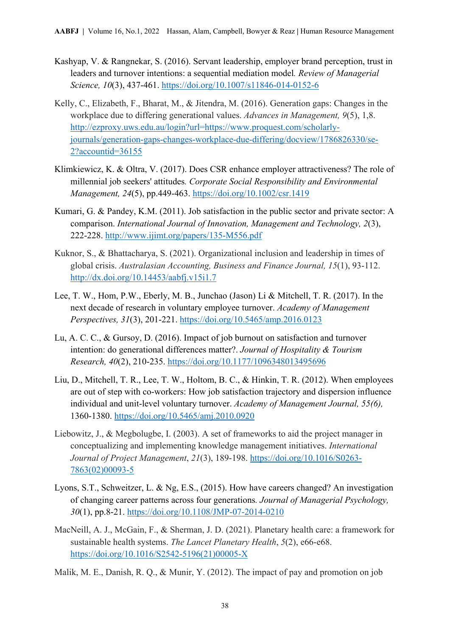- Kashyap, V. & Rangnekar, S. (2016). Servant leadership, employer brand perception, trust in leaders and turnover intentions: a sequential mediation model*. Review of Managerial Science, 10*(3), 437-461. <https://doi.org/10.1007/s11846-014-0152-6>
- Kelly, C., Elizabeth, F., Bharat, M., & Jitendra, M. (2016). Generation gaps: Changes in the workplace due to differing generational values. *Advances in Management, 9*(5), 1,8. [http://ezproxy.uws.edu.au/login?url=https://www.proquest.com/scholarly](http://ezproxy.uws.edu.au/login?url=https://www.proquest.com/scholarly-journals/generation-gaps-changes-workplace-due-differing/docview/1786826330/se-2?accountid=36155)[journals/generation-gaps-changes-workplace-due-differing/docview/1786826330/se-](http://ezproxy.uws.edu.au/login?url=https://www.proquest.com/scholarly-journals/generation-gaps-changes-workplace-due-differing/docview/1786826330/se-2?accountid=36155)[2?accountid=36155](http://ezproxy.uws.edu.au/login?url=https://www.proquest.com/scholarly-journals/generation-gaps-changes-workplace-due-differing/docview/1786826330/se-2?accountid=36155)
- Klimkiewicz, K. & Oltra, V. (2017). Does CSR enhance employer attractiveness? The role of millennial job seekers' attitudes*. Corporate Social Responsibility and Environmental Management, 24*(5), pp.449-463. <https://doi.org/10.1002/csr.1419>
- Kumari, G. & Pandey, K.M. (2011). Job satisfaction in the public sector and private sector: A comparison. *International Journal of Innovation, Management and Technology, 2*(3), 222-228. <http://www.ijimt.org/papers/135-M556.pdf>
- Kuknor, S., & Bhattacharya, S. (2021). Organizational inclusion and leadership in times of global crisis. *Australasian Accounting, Business and Finance Journal, 15*(1), 93-112. <http://dx.doi.org/10.14453/aabfj.v15i1.7>
- Lee, T. W., Hom, P.W., Eberly, M. B., Junchao (Jason) Li & Mitchell, T. R. (2017). In the next decade of research in voluntary employee turnover. *Academy of Management Perspectives, 31*(3), 201-221. <https://doi.org/10.5465/amp.2016.0123>
- Lu, A. C. C., & Gursoy, D. (2016). Impact of job burnout on satisfaction and turnover intention: do generational differences matter?. *Journal of Hospitality & Tourism Research, 40*(2), 210-235. <https://doi.org/10.1177/1096348013495696>
- Liu, D., Mitchell, T. R., Lee, T. W., Holtom, B. C., & Hinkin, T. R. (2012). When employees are out of step with co-workers: How job satisfaction trajectory and dispersion influence individual and unit-level voluntary turnover. *Academy of Management Journal, 55(6),* 1360-1380. <https://doi.org/10.5465/amj.2010.0920>
- Liebowitz, J., & Megbolugbe, I. (2003). A set of frameworks to aid the project manager in conceptualizing and implementing knowledge management initiatives. *International Journal of Project Management*, *21*(3), 189-198. [https://doi.org/10.1016/S0263-](https://doi.org/10.1016/S0263-7863(02)00093-5) [7863\(02\)00093-5](https://doi.org/10.1016/S0263-7863(02)00093-5)
- Lyons, S.T., Schweitzer, L. & Ng, E.S., (2015). How have careers changed? An investigation of changing career patterns across four generations*. Journal of Managerial Psychology, 30*(1), pp.8-21. <https://doi.org/10.1108/JMP-07-2014-0210>
- MacNeill, A. J., McGain, F., & Sherman, J. D. (2021). Planetary health care: a framework for sustainable health systems. *The Lancet Planetary Health*, *5*(2), e66-e68. [https://doi.org/10.1016/S2542-5196\(21\)00005-X](https://doi.org/10.1016/S2542-5196(21)00005-X)
- Malik, M. E., Danish, R. Q., & Munir, Y. (2012). The impact of pay and promotion on job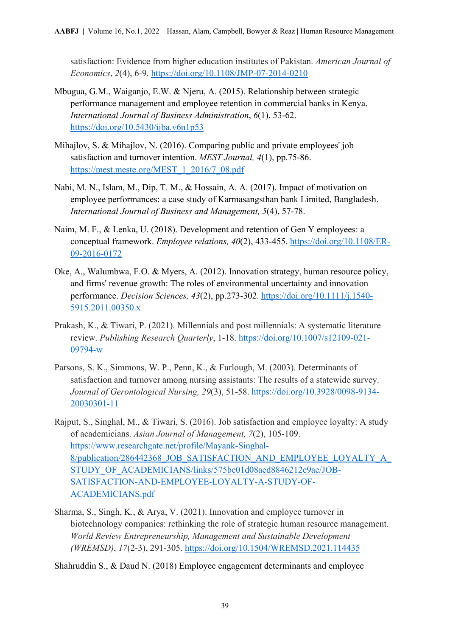satisfaction: Evidence from higher education institutes of Pakistan. *American Journal of Economics*, *2*(4), 6-9. <https://doi.org/10.1108/JMP-07-2014-0210>

- Mbugua, G.M., Waiganjo, E.W. & Njeru, A. (2015). Relationship between strategic performance management and employee retention in commercial banks in Kenya. *International Journal of Business Administration*, *6*(1), 53-62. <https://doi.org/10.5430/ijba.v6n1p53>
- Mihajlov, S. & Mihajlov, N. (2016). Comparing public and private employees' job satisfaction and turnover intention. *MEST Journal, 4*(1), pp.75-86. [https://mest.meste.org/MEST\\_1\\_2016/7\\_08.pdf](https://mest.meste.org/MEST_1_2016/7_08.pdf)
- Nabi, M. N., Islam, M., Dip, T. M., & Hossain, A. A. (2017). Impact of motivation on employee performances: a case study of Karmasangsthan bank Limited, Bangladesh. *International Journal of Business and Management, 5*(4), 57-78.
- Naim, M. F., & Lenka, U. (2018). Development and retention of Gen Y employees: a conceptual framework. *Employee relations, 40*(2), 433-455. [https://doi.org/10.1108/ER-](https://doi.org/10.1108/ER-09-2016-0172)[09-2016-0172](https://doi.org/10.1108/ER-09-2016-0172)
- Oke, A., Walumbwa, F.O. & Myers, A. (2012). Innovation strategy, human resource policy, and firms' revenue growth: The roles of environmental uncertainty and innovation performance. *Decision Sciences, 43*(2), pp.273-302. [https://doi.org/10.1111/j.1540-](https://doi.org/10.1111/j.1540-5915.2011.00350.x) [5915.2011.00350.x](https://doi.org/10.1111/j.1540-5915.2011.00350.x)
- Prakash, K., & Tiwari, P. (2021). Millennials and post millennials: A systematic literature review. *Publishing Research Quarterly*, 1-18. [https://doi.org/10.1007/s12109-021-](https://doi.org/10.1007/s12109-021-09794-w) [09794-w](https://doi.org/10.1007/s12109-021-09794-w)
- Parsons, S. K., Simmons, W. P., Penn, K., & Furlough, M. (2003). Determinants of satisfaction and turnover among nursing assistants: The results of a statewide survey. *Journal of Gerontological Nursing, 29*(3), 51-58. [https://doi.org/10.3928/0098-9134-](https://doi.org/10.3928/0098-9134-20030301-11) [20030301-11](https://doi.org/10.3928/0098-9134-20030301-11)
- Rajput, S., Singhal, M., & Tiwari, S. (2016). Job satisfaction and employee loyalty: A study of academicians. *Asian Journal of Management, 7*(2), 105-109. [https://www.researchgate.net/profile/Mayank-Singhal-](https://www.researchgate.net/profile/Mayank-Singhal-8/publication/286442368_JOB_SATISFACTION_AND_EMPLOYEE_LOYALTY_A_STUDY_OF_ACADEMICIANS/links/575be01d08aed8846212c9ae/JOB-SATISFACTION-AND-EMPLOYEE-LOYALTY-A-STUDY-OF-ACADEMICIANS.pdf)[8/publication/286442368\\_JOB\\_SATISFACTION\\_AND\\_EMPLOYEE\\_LOYALTY\\_A\\_](https://www.researchgate.net/profile/Mayank-Singhal-8/publication/286442368_JOB_SATISFACTION_AND_EMPLOYEE_LOYALTY_A_STUDY_OF_ACADEMICIANS/links/575be01d08aed8846212c9ae/JOB-SATISFACTION-AND-EMPLOYEE-LOYALTY-A-STUDY-OF-ACADEMICIANS.pdf) [STUDY\\_OF\\_ACADEMICIANS/links/575be01d08aed8846212c9ae/JOB-](https://www.researchgate.net/profile/Mayank-Singhal-8/publication/286442368_JOB_SATISFACTION_AND_EMPLOYEE_LOYALTY_A_STUDY_OF_ACADEMICIANS/links/575be01d08aed8846212c9ae/JOB-SATISFACTION-AND-EMPLOYEE-LOYALTY-A-STUDY-OF-ACADEMICIANS.pdf)[SATISFACTION-AND-EMPLOYEE-LOYALTY-A-STUDY-OF-](https://www.researchgate.net/profile/Mayank-Singhal-8/publication/286442368_JOB_SATISFACTION_AND_EMPLOYEE_LOYALTY_A_STUDY_OF_ACADEMICIANS/links/575be01d08aed8846212c9ae/JOB-SATISFACTION-AND-EMPLOYEE-LOYALTY-A-STUDY-OF-ACADEMICIANS.pdf)[ACADEMICIANS.pdf](https://www.researchgate.net/profile/Mayank-Singhal-8/publication/286442368_JOB_SATISFACTION_AND_EMPLOYEE_LOYALTY_A_STUDY_OF_ACADEMICIANS/links/575be01d08aed8846212c9ae/JOB-SATISFACTION-AND-EMPLOYEE-LOYALTY-A-STUDY-OF-ACADEMICIANS.pdf)
- Sharma, S., Singh, K., & Arya, V. (2021). Innovation and employee turnover in biotechnology companies: rethinking the role of strategic human resource management. *World Review Entrepreneurship, Management and Sustainable Development (WREMSD)*, *17*(2-3), 291-305. <https://doi.org/10.1504/WREMSD.2021.114435>

Shahruddin S., & Daud N. (2018) Employee engagement determinants and employee